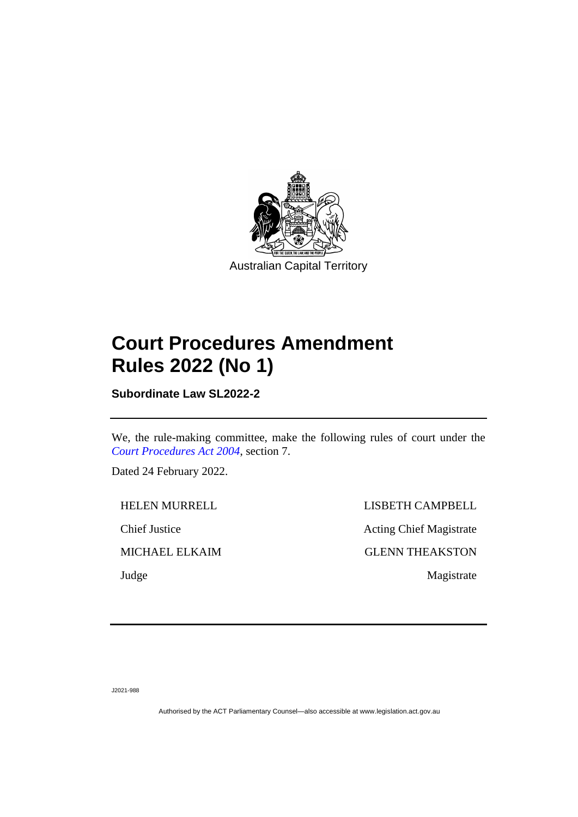

## **Court Procedures Amendment Rules 2022 (No 1)**

**Subordinate Law SL2022-2**

We, the rule-making committee, make the following rules of court under the *[Court Procedures Act 2004](http://www.legislation.act.gov.au/a/2004-59)*, section 7.

Dated 24 February 2022.

HELEN MURRELL LISBETH CAMPBELL Chief Justice Acting Chief Magistrate MICHAEL ELKAIM GLENN THEAKSTON Judge Magistrate

J2021-988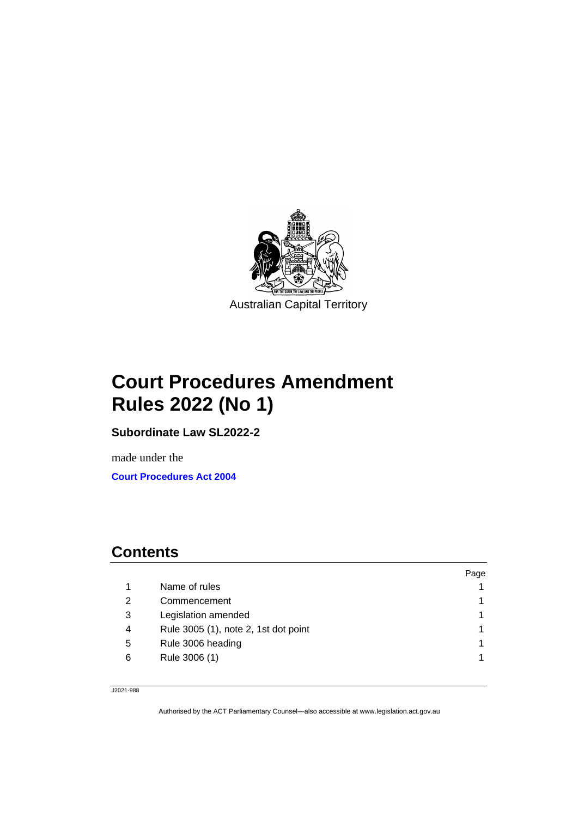

# **Court Procedures Amendment Rules 2022 (No 1)**

**Subordinate Law SL2022-2**

made under the **[Court Procedures Act 2004](http://www.legislation.act.gov.au/a/2004-59)**

### **Contents**

|               |                                      | Page |
|---------------|--------------------------------------|------|
|               | Name of rules                        |      |
| $\mathcal{P}$ | Commencement                         |      |
| 3             | Legislation amended                  |      |
| 4             | Rule 3005 (1), note 2, 1st dot point |      |
| 5             | Rule 3006 heading                    |      |
| 6             | Rule 3006 (1)                        |      |
|               |                                      |      |

J2021-988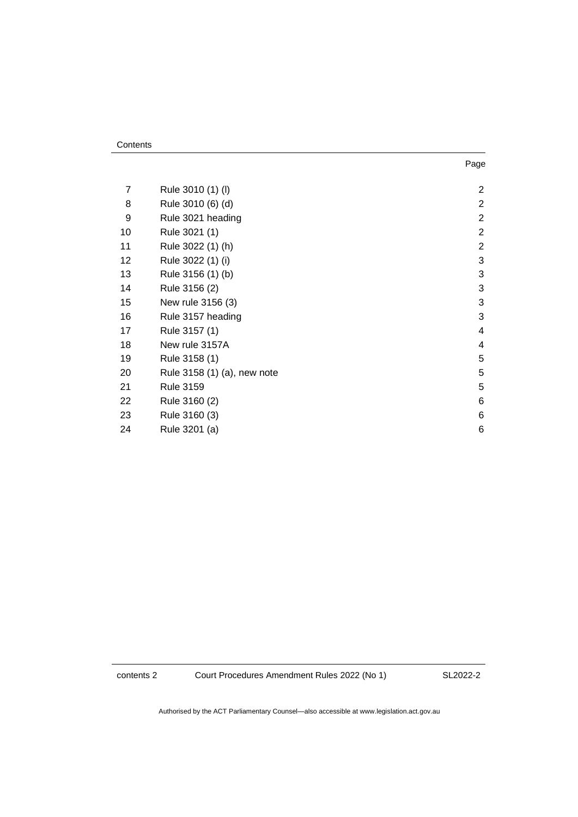| 7  | Rule 3010 (1) (I)           | $\overline{a}$ |
|----|-----------------------------|----------------|
| 8  | Rule 3010 (6) (d)           | $\overline{a}$ |
| 9  | Rule 3021 heading           | $\overline{a}$ |
| 10 | Rule 3021 (1)               | $\overline{a}$ |
| 11 | Rule 3022 (1) (h)           | $\overline{2}$ |
| 12 | Rule 3022 (1) (i)           | 3              |
| 13 | Rule 3156 (1) (b)           | 3              |
| 14 | Rule 3156 (2)               | 3              |
| 15 | New rule 3156 (3)           | 3              |
| 16 | Rule 3157 heading           | 3              |
| 17 | Rule 3157 (1)               | 4              |
| 18 | New rule 3157A              | 4              |
| 19 | Rule 3158 (1)               | 5              |
| 20 | Rule 3158 (1) (a), new note | 5              |
| 21 | <b>Rule 3159</b>            | 5              |
| 22 | Rule 3160 (2)               | 6              |
| 23 | Rule 3160 (3)               | 6              |
| 24 | Rule 3201 (a)               | 6              |

contents 2 Court Procedures Amendment Rules 2022 (No 1)

SL2022-2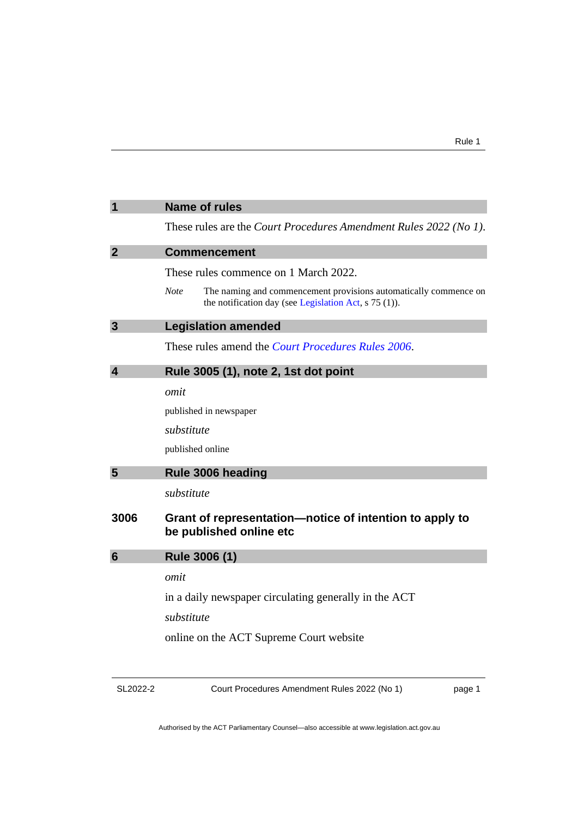<span id="page-4-3"></span><span id="page-4-2"></span><span id="page-4-1"></span><span id="page-4-0"></span>

| $\mathbf 1$             | <b>Name of rules</b>                                                                                                                       |
|-------------------------|--------------------------------------------------------------------------------------------------------------------------------------------|
|                         | These rules are the Court Procedures Amendment Rules 2022 (No 1).                                                                          |
| $\overline{2}$          | <b>Commencement</b>                                                                                                                        |
|                         | These rules commence on 1 March 2022.                                                                                                      |
|                         | <b>Note</b><br>The naming and commencement provisions automatically commence on<br>the notification day (see Legislation Act, $s$ 75 (1)). |
| $\overline{\mathbf{3}}$ | <b>Legislation amended</b>                                                                                                                 |
|                         | These rules amend the <i>Court Procedures Rules</i> 2006.                                                                                  |
| $\overline{\mathbf{4}}$ | Rule 3005 (1), note 2, 1st dot point                                                                                                       |
|                         | omit                                                                                                                                       |
|                         | published in newspaper                                                                                                                     |
|                         | substitute                                                                                                                                 |
|                         | published online                                                                                                                           |
| 5                       | Rule 3006 heading                                                                                                                          |
|                         | substitute                                                                                                                                 |
| 3006                    | Grant of representation—notice of intention to apply to<br>be published online etc                                                         |
| 6                       | Rule 3006 (1)                                                                                                                              |
|                         | omit                                                                                                                                       |
|                         | in a daily newspaper circulating generally in the ACT                                                                                      |
|                         | substitute                                                                                                                                 |
|                         | online on the ACT Supreme Court website                                                                                                    |
|                         |                                                                                                                                            |

<span id="page-4-5"></span><span id="page-4-4"></span>

| SL2022-2 |
|----------|
|----------|

Court Procedures Amendment Rules 2022 (No 1)

page 1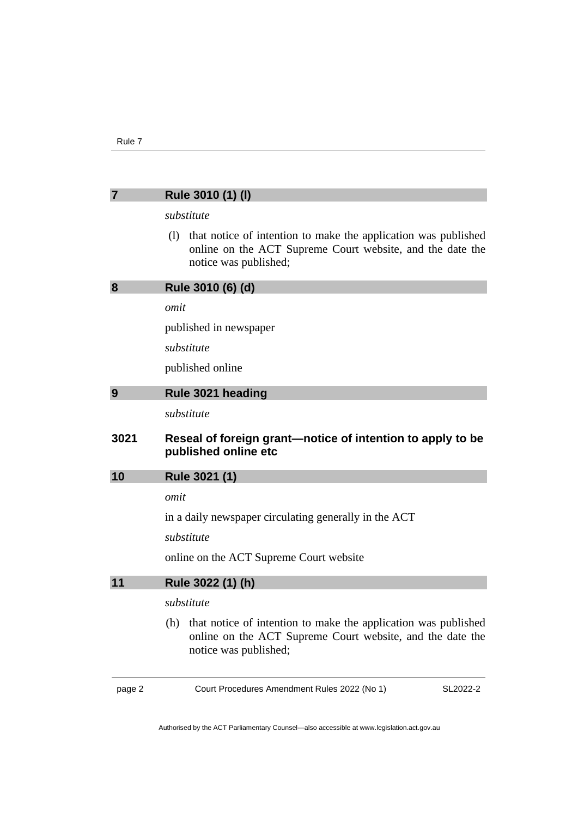## <span id="page-5-4"></span><span id="page-5-3"></span><span id="page-5-2"></span><span id="page-5-1"></span><span id="page-5-0"></span>page 2 Court Procedures Amendment Rules 2022 (No 1) SL2022-2 **7 Rule 3010 (1) (l)** *substitute* (l) that notice of intention to make the application was published online on the ACT Supreme Court website, and the date the notice was published; **8 Rule 3010 (6) (d)** *omit* published in newspaper *substitute* published online **9 Rule 3021 heading** *substitute* **3021 Reseal of foreign grant—notice of intention to apply to be published online etc 10 Rule 3021 (1)** *omit* in a daily newspaper circulating generally in the ACT *substitute* online on the ACT Supreme Court website **11 Rule 3022 (1) (h)** *substitute* (h) that notice of intention to make the application was published online on the ACT Supreme Court website, and the date the notice was published;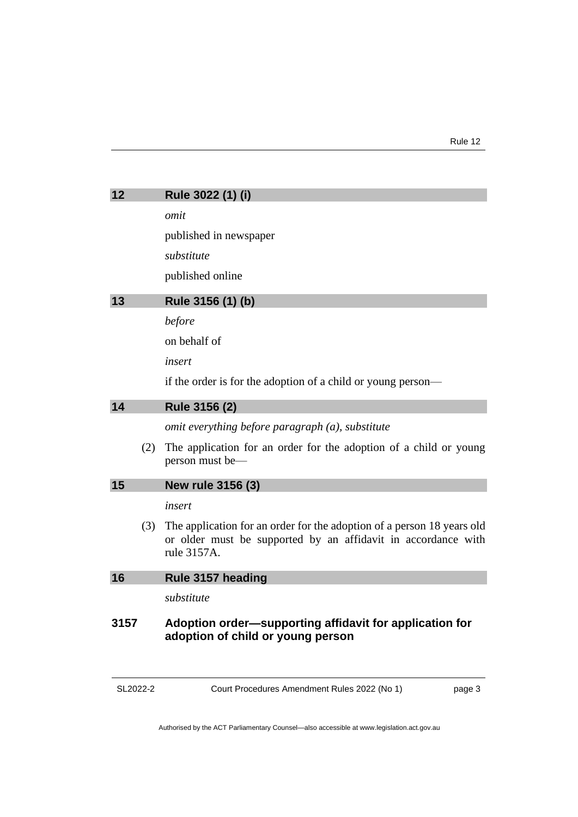<span id="page-6-2"></span><span id="page-6-1"></span><span id="page-6-0"></span>

| 12   |     | Rule 3022 (1) (i)                                                                                                                                      |
|------|-----|--------------------------------------------------------------------------------------------------------------------------------------------------------|
|      |     | omit                                                                                                                                                   |
|      |     | published in newspaper                                                                                                                                 |
|      |     | substitute                                                                                                                                             |
|      |     | published online                                                                                                                                       |
| 13   |     | Rule 3156 (1) (b)                                                                                                                                      |
|      |     | before                                                                                                                                                 |
|      |     | on behalf of                                                                                                                                           |
|      |     | insert                                                                                                                                                 |
|      |     | if the order is for the adoption of a child or young person—                                                                                           |
| 14   |     | Rule 3156 (2)                                                                                                                                          |
|      |     | omit everything before paragraph (a), substitute                                                                                                       |
|      | (2) | The application for an order for the adoption of a child or young<br>person must be—                                                                   |
| 15   |     | New rule 3156 (3)                                                                                                                                      |
|      |     | insert                                                                                                                                                 |
|      | (3) | The application for an order for the adoption of a person 18 years old<br>or older must be supported by an affidavit in accordance with<br>rule 3157A. |
| 16   |     | Rule 3157 heading                                                                                                                                      |
|      |     | substitute                                                                                                                                             |
| 3157 |     | Adoption order-supporting affidavit for application for<br>adoption of child or young person                                                           |

<span id="page-6-4"></span><span id="page-6-3"></span>SL2022-2 Court Procedures Amendment Rules 2022 (No 1)

page 3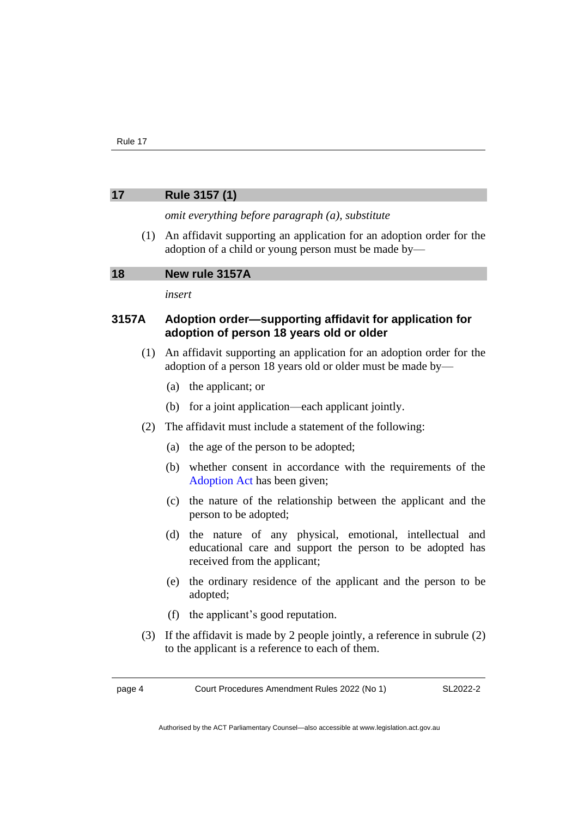#### <span id="page-7-0"></span>**17 Rule 3157 (1)**

*omit everything before paragraph (a), substitute*

(1) An affidavit supporting an application for an adoption order for the adoption of a child or young person must be made by—

#### <span id="page-7-1"></span>**18 New rule 3157A**

*insert*

#### **3157A Adoption order—supporting affidavit for application for adoption of person 18 years old or older**

- (1) An affidavit supporting an application for an adoption order for the adoption of a person 18 years old or older must be made by—
	- (a) the applicant; or
	- (b) for a joint application—each applicant jointly.
- (2) The affidavit must include a statement of the following:
	- (a) the age of the person to be adopted;
	- (b) whether consent in accordance with the requirements of the [Adoption Act](https://www.legislation.act.gov.au/a/1993-20/) has been given;
	- (c) the nature of the relationship between the applicant and the person to be adopted;
	- (d) the nature of any physical, emotional, intellectual and educational care and support the person to be adopted has received from the applicant;
	- (e) the ordinary residence of the applicant and the person to be adopted;
	- (f) the applicant's good reputation.
- (3) If the affidavit is made by 2 people jointly, a reference in subrule (2) to the applicant is a reference to each of them.

page 4 Court Procedures Amendment Rules 2022 (No 1)

SL2022-2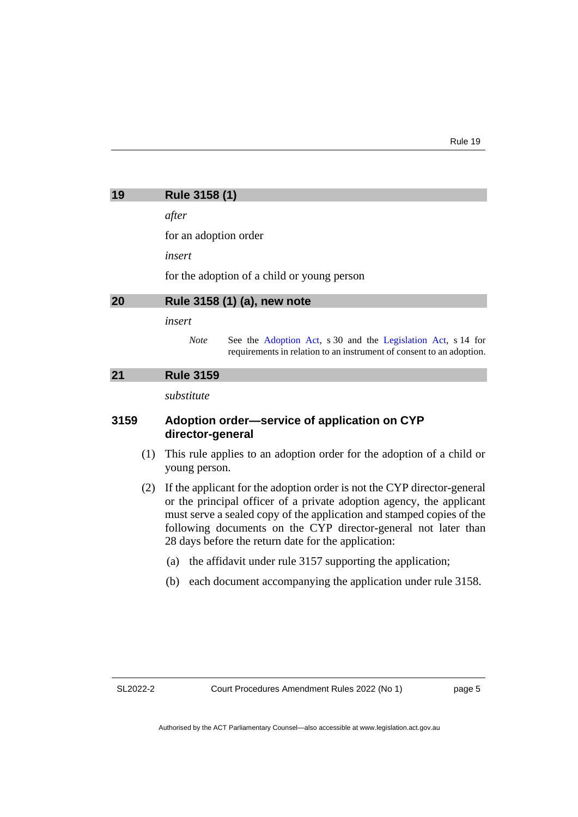<span id="page-8-0"></span>

| 19 | Rule 3158 (1) |  |
|----|---------------|--|
|----|---------------|--|

*after*

for an adoption order

*insert*

for the adoption of a child or young person

### <span id="page-8-1"></span>**20 Rule 3158 (1) (a), new note**

#### *insert*

*Note* See the [Adoption Act,](https://www.legislation.act.gov.au/a/1993-20/) s 30 and the [Legislation Act,](http://www.legislation.act.gov.au/a/2001-14) s 14 for requirements in relation to an instrument of consent to an adoption.

#### <span id="page-8-2"></span>**21 Rule 3159**

*substitute*

#### **3159 Adoption order—service of application on CYP director-general**

- (1) This rule applies to an adoption order for the adoption of a child or young person.
- (2) If the applicant for the adoption order is not the CYP director-general or the principal officer of a private adoption agency, the applicant must serve a sealed copy of the application and stamped copies of the following documents on the CYP director-general not later than 28 days before the return date for the application:
	- (a) the affidavit under rule 3157 supporting the application;
	- (b) each document accompanying the application under rule 3158.

SL2022-2

page 5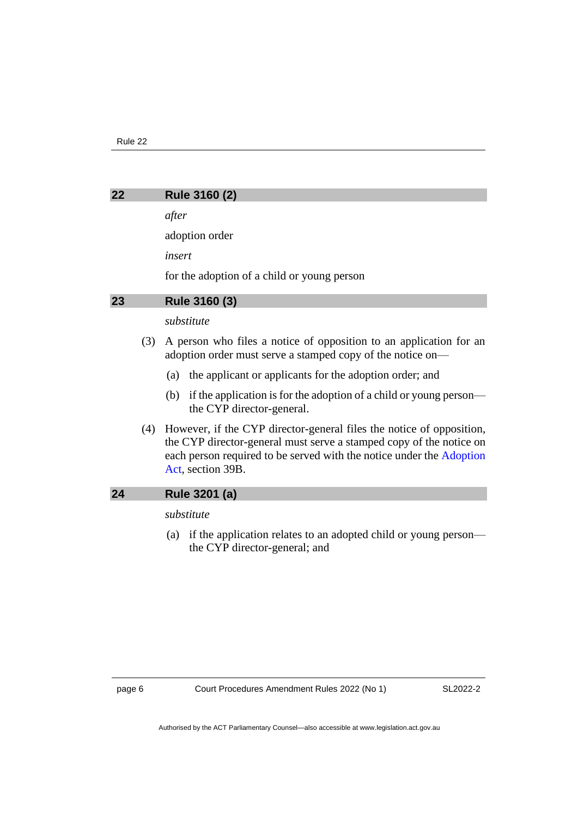#### <span id="page-9-0"></span>**22 Rule 3160 (2)**

*after*

adoption order

*insert*

for the adoption of a child or young person

#### <span id="page-9-1"></span>**23 Rule 3160 (3)**

#### *substitute*

- (3) A person who files a notice of opposition to an application for an adoption order must serve a stamped copy of the notice on—
	- (a) the applicant or applicants for the adoption order; and
	- (b) if the application is for the adoption of a child or young person the CYP director-general.
- (4) However, if the CYP director-general files the notice of opposition, the CYP director-general must serve a stamped copy of the notice on each person required to be served with the notice under the [Adoption](https://www.legislation.act.gov.au/a/1993-20/)  [Act,](https://www.legislation.act.gov.au/a/1993-20/) section 39B.

#### <span id="page-9-2"></span>**24 Rule 3201 (a)**

#### *substitute*

(a) if the application relates to an adopted child or young person the CYP director-general; and

SL2022-2